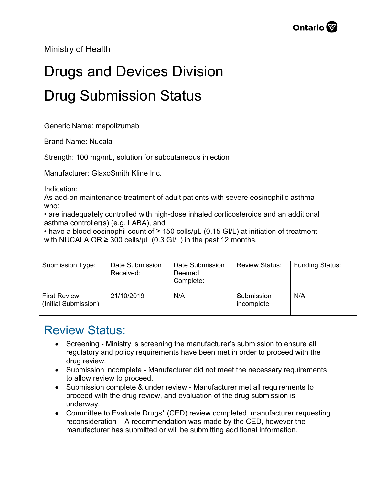Ministry of Health

## Drugs and Devices Division Drug Submission Status

Generic Name: mepolizumab

Brand Name: Nucala

Strength: 100 mg/mL, solution for subcutaneous injection

Manufacturer: GlaxoSmith Kline Inc.

Indication:

As add-on maintenance treatment of adult patients with severe eosinophilic asthma who:

• are inadequately controlled with high-dose inhaled corticosteroids and an additional asthma controller(s) (e.g. LABA), and

• have a blood eosinophil count of  $\geq$  150 cells/ $\mu$ L (0.15 GI/L) at initiation of treatment with NUCALA OR  $\geq$  300 cells/µL (0.3 GI/L) in the past 12 months.

| Submission Type:                      | Date Submission<br>Received: | Date Submission<br>Deemed<br>Complete: | <b>Review Status:</b>    | <b>Funding Status:</b> |
|---------------------------------------|------------------------------|----------------------------------------|--------------------------|------------------------|
| First Review:<br>(Initial Submission) | 21/10/2019                   | N/A                                    | Submission<br>incomplete | N/A                    |

## Review Status:

- Screening Ministry is screening the manufacturer's submission to ensure all regulatory and policy requirements have been met in order to proceed with the drug review.
- Submission incomplete Manufacturer did not meet the necessary requirements to allow review to proceed.
- Submission complete & under review Manufacturer met all requirements to proceed with the drug review, and evaluation of the drug submission is underway.
- Committee to Evaluate Drugs\* (CED) review completed, manufacturer requesting reconsideration – A recommendation was made by the CED, however the manufacturer has submitted or will be submitting additional information.